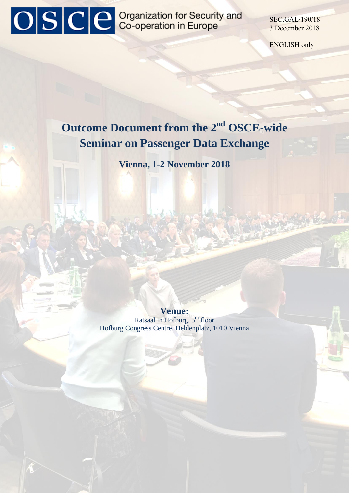# OSCE Organization for Security and

SEC.GAL/190/18 3 December 2018

ENGLISH only

### **Outcome Document from the 2nd OSCE-wide Seminar on Passenger Data Exchange**

**Vienna, 1-2 November 2018** 

**Venue:** 

Ratsaal in Hofburg, 5<sup>th</sup> floor Hofburg Congress Centre, Heldenplatz, 1010 Vienna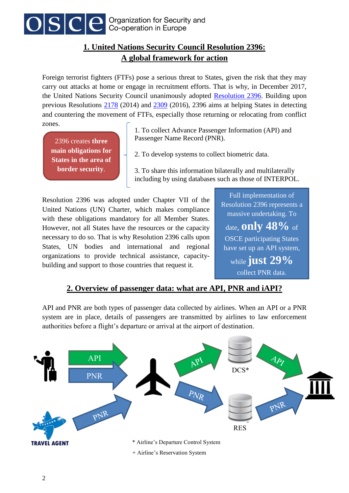

#### **1. United Nations Security Council Resolution 2396: A global framework for action**

Foreign terrorist fighters (FTFs) pose a serious threat to States, given the risk that they may carry out attacks at home or engage in recruitment efforts. That is why, in December 2017, the United Nations Security Council unanimously adopted [Resolution 2396.](https://www.un.org/press/en/2017/sc13138.doc.htm) Building upon previous Resolutions [2178](http://www.un.org/en/sc/ctc/docs/2015/SCR%202178_2014_EN.pdf) (2014) and [2309](https://www.un.org/press/en/2016/sc12529.doc.htm) (2016), 2396 aims at helping States in detecting and countering the movement of FTFs, especially those returning or relocating from conflict zones.

2396 creates **three main obligations for States in the area of border security**.

1. To collect Advance Passenger Information (API) and Passenger Name Record (PNR).

2. To develop systems to collect biometric data.

3. To share this information bilaterally and multilaterally including by using databases such as those of INTERPOL.

Resolution 2396 was adopted under Chapter VII of the United Nations (UN) Charter, which makes compliance with these obligations mandatory for all Member States. However, not all States have the resources or the capacity necessary to do so. That is why Resolution 2396 calls upon States, UN bodies and international and regional organizations to provide technical assistance, capacitybuilding and support to those countries that request it.

Full implementation of Resolution 2396 represents a massive undertaking. To date, **only 48%** of

OSCE participating States have set up an API system,

while **just 29%** collect PNR data.

#### **2. Overview of passenger data: what are API, PNR and iAPI?**

API and PNR are both types of passenger data collected by airlines. When an API or a PNR system are in place, details of passengers are transmitted by airlines to law enforcement authorities before a flight's departure or arrival at the airport of destination.

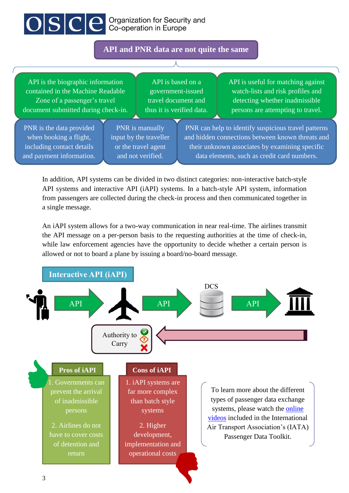## OSCE Crganization for Security and

#### **API and PNR data are not quite the same**

API is the biographic information contained in the Machine Readable Zone of a passenger's travel document submitted during check-in.

API is based on a government-issued travel document and thus it is verified data.

API is useful for matching against watch-lists and risk profiles and detecting whether inadmissible persons are attempting to travel.

PNR is the data provided when booking a flight, including contact details and payment information.

PNR is manually input by the traveller or the travel agent and not verified.

PNR can help to identify suspicious travel patterns and hidden connections between known threats and their unknown associates by examining specific data elements, such as credit card numbers.

In addition, API systems can be divided in two distinct categories: non-interactive batch-style API systems and interactive API (iAPI) systems. In a batch-style API system, information from passengers are collected during the check-in process and then communicated together in a single message.

An iAPI system allows for a two-way communication in near real-time. The airlines transmit the API message on a per-person basis to the requesting authorities at the time of check-in, while law enforcement agencies have the opportunity to decide whether a certain person is allowed or not to board a plane by issuing a board/no-board message.

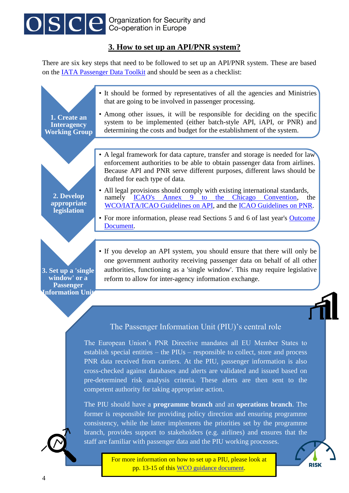

#### **3. How to set up an API/PNR system?**

There are six key steps that need to be followed to set up an API/PNR system. These are based on the **IATA Passenger Data Toolkit** and should be seen as a checklist:

| 1. Create an<br><b>Interagency</b><br><b>Working Group</b>                  | • It should be formed by representatives of all the agencies and Ministries<br>that are going to be involved in passenger processing.<br>• Among other issues, it will be responsible for deciding on the specific<br>system to be implemented (either batch-style API, iAPI, or PNR) and<br>determining the costs and budget for the establishment of the system.                                                                                                                                                                                                                                     |  |
|-----------------------------------------------------------------------------|--------------------------------------------------------------------------------------------------------------------------------------------------------------------------------------------------------------------------------------------------------------------------------------------------------------------------------------------------------------------------------------------------------------------------------------------------------------------------------------------------------------------------------------------------------------------------------------------------------|--|
|                                                                             |                                                                                                                                                                                                                                                                                                                                                                                                                                                                                                                                                                                                        |  |
|                                                                             | • A legal framework for data capture, transfer and storage is needed for law<br>enforcement authorities to be able to obtain passenger data from airlines.<br>Because API and PNR serve different purposes, different laws should be<br>drafted for each type of data.                                                                                                                                                                                                                                                                                                                                 |  |
| 2. Develop<br>appropriate<br>legislation                                    | • All legal provisions should comply with existing international standards,<br><b>ICAO's</b><br>Annex<br>$9$ to<br>the<br>Chicago<br>Convention,<br>namely<br>the<br>WCO/IATA/ICAO Guidelines on API, and the ICAO Guidelines on PNR.                                                                                                                                                                                                                                                                                                                                                                  |  |
|                                                                             | • For more information, please read Sections 5 and 6 of last year's Outcome<br>Document.                                                                                                                                                                                                                                                                                                                                                                                                                                                                                                               |  |
| 3. Set up a 'single<br>window' or a<br><b>Passenger</b>                     | • If you develop an API system, you should ensure that there will only be<br>one government authority receiving passenger data on behalf of all other<br>authorities, functioning as a 'single window'. This may require legislative<br>reform to allow for inter-agency information exchange.                                                                                                                                                                                                                                                                                                         |  |
| <b>Information Unit</b>                                                     |                                                                                                                                                                                                                                                                                                                                                                                                                                                                                                                                                                                                        |  |
|                                                                             | The Passenger Information Unit (PIU)'s central role<br>The European Union's PNR Directive mandates all EU Member States to<br>establish special entities – the PIUs – responsible to collect, store and process<br>PNR data received from carriers. At the PIU, passenger information is also<br>cross-checked against databases and alerts are validated and issued based on<br>pre-determined risk analysis criteria. These alerts are then sent to the<br>competent authority for taking appropriate action.<br>The PIU should have a <b>programme branch</b> and an <b>operations branch</b> . The |  |
| former is responsible for providing policy direction and ensuring programme |                                                                                                                                                                                                                                                                                                                                                                                                                                                                                                                                                                                                        |  |



For more information on how to set up a PIU, please look at pp. 13-15 of this [WCO guidance document.](http://www.wcoomd.org/-/media/wco/public/global/pdf/topics/facilitation/instruments-and-tools/tools/api-guidelines-and-pnr-doc/guidance-for-customs-administrations-on-how-to-build-an-api-pnr-programme.pdf?la=en)

**RISK** 

staff are familiar with passenger data and the PIU working processes.

consistency, while the latter implements the priorities set by the programme branch, provides support to stakeholders (e.g. airlines) and ensures that the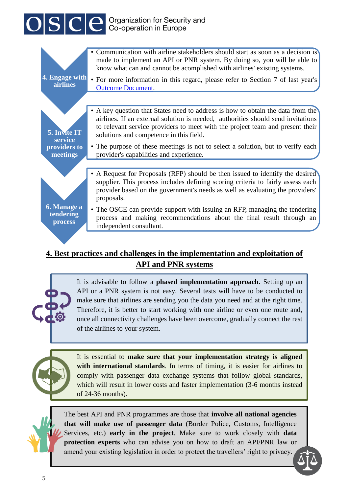# OSCE Ceperation for Security and

|                                            | Communication with airline stakeholders should start as soon as a decision is<br>made to implement an API or PNR system. By doing so, you will be able to<br>know what can and cannot be acomplished with airlines' existing systems.                                                           |
|--------------------------------------------|-------------------------------------------------------------------------------------------------------------------------------------------------------------------------------------------------------------------------------------------------------------------------------------------------|
| 4. Engage with<br><b>airlines</b>          | • For more information in this regard, please refer to Section 7 of last year's<br><b>Outcome Document.</b>                                                                                                                                                                                     |
|                                            |                                                                                                                                                                                                                                                                                                 |
| 5. Invite IT<br>service                    | • A key question that States need to address is how to obtain the data from the<br>airlines. If an external solution is needed, authorities should send invitations<br>to relevant service providers to meet with the project team and present their<br>solutions and competence in this field. |
| providers to<br>meetings                   | • The purpose of these meetings is not to select a solution, but to verify each<br>provider's capabilities and experience.                                                                                                                                                                      |
|                                            |                                                                                                                                                                                                                                                                                                 |
|                                            | • A Request for Proposals (RFP) should be then issued to identify the desired<br>supplier. This process includes defining scoring criteria to fairly assess each<br>provider based on the government's needs as well as evaluating the providers'<br>proposals.                                 |
| 6. Manage a<br>tendering<br><b>process</b> | • The OSCE can provide support with issuing an RFP, managing the tendering<br>process and making recommendations about the final result through an<br>independent consultant.                                                                                                                   |
|                                            |                                                                                                                                                                                                                                                                                                 |

#### **4. Best practices and challenges in the implementation and exploitation of API and PNR systems**

It is advisable to follow a **phased implementation approach**. Setting up an API or a PNR system is not easy. Several tests will have to be conducted to make sure that airlines are sending you the data you need and at the right time. Therefore, it is better to start working with one airline or even one route and, once all connectivity challenges have been overcome, gradually connect the rest of the airlines to your system.



It is essential to **make sure that your implementation strategy is aligned with international standards**. In terms of timing, it is easier for airlines to comply with passenger data exchange systems that follow global standards, which will result in lower costs and faster implementation (3-6 months instead of 24-36 months).

The best API and PNR programmes are those that **involve all national agencies that will make use of passenger data** (Border Police, Customs, Intelligence Services, etc.) **early in the project**. Make sure to work closely with **data protection experts** who can advise you on how to draft an API/PNR law or amend your existing legislation in order to protect the travellers' right to privacy.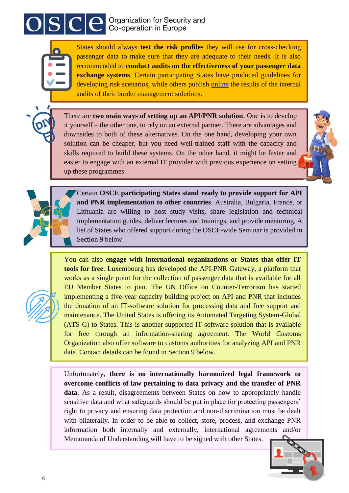## $\left| \text{SSIC} \right|$  Organization for Security and



States should always **test the risk profiles** they will use for cross-checking passenger data to make sure that they are adequate to their needs. It is also recommended to **conduct audits on the effectiveness of your passenger data exchange systems**. Certain participating States have produced guidelines for developing risk scenarios, while others publish [online](https://www.cbsa-asfc.gc.ca/agency-agence/reports-rapports/ae-ve/2016/tp-pc-eng.html) the results of the internal audits of their border management solutions.

There are **two main ways of setting up an API/PNR solution**. One is to develop it yourself – the other one, to rely on an external partner. There are advantages and downsides to both of these alternatives. On the one hand, developing your own solution can be cheaper, but you need well-trained staff with the capacity and skills required to build these systems. On the other hand, it might be faster and easier to engage with an external IT provider with previous experience on setting up these programmes.



Certain **OSCE participating States stand ready to provide support for API and PNR implementation to other countries**. Australia, Bulgaria, France, or Lithuania are willing to host study visits, share legislation and technical implementation guides, deliver lectures and trainings, and provide mentoring. A list of States who offered support during the OSCE-wide Seminar is provided in Section 9 below.

You can also **engage with international organizations or States that offer IT tools for free**. Luxembourg has developed the API-PNR Gateway, a platform that works as a single point for the collection of passenger data that is available for all EU Member States to join. The UN Office on Counter-Terrorism has started implementing a five-year capacity building project on API and PNR that includes the donation of an IT-software solution for processing data and free support and maintenance. The United States is offering its Automated Targeting System-Global (ATS-G) to States. This is another supported IT-software solution that is available for free through an information-sharing agreement. The World Customs Organization also offer software to customs authorities for analyzing API and PNR data. Contact details can be found in Section 9 below.

Unfortunately, **there is no internationally harmonized legal framework to overcome conflicts of law pertaining to data privacy and the transfer of PNR data**. As a result, disagreements between States on how to appropriately handle sensitive data and what safeguards should be put in place for protecting passengers' right to privacy and ensuring data protection and non-discrimination must be dealt with bilaterally. In order to be able to collect, store, process, and exchange PNR information both internally and externally, international agreements and/or Memoranda of Understanding will have to be signed with other States.

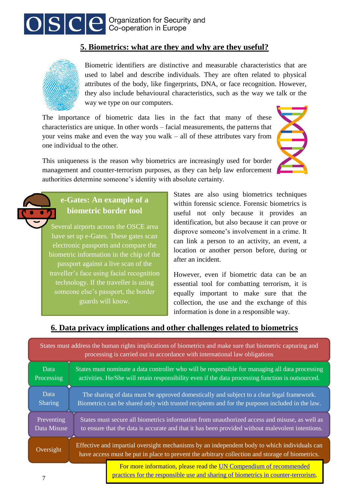

#### **5. Biometrics: what are they and why are they useful?**



Biometric identifiers are distinctive and measurable characteristics that are used to label and describe individuals. They are often related to physical attributes of the body, like fingerprints, DNA, or face recognition. However, they also include behavioural characteristics, such as the way we talk or the way we type on our computers.

The importance of biometric data lies in the fact that many of these characteristics are unique. In other words – facial measurements, the patterns that your veins make and even the way you walk – all of these attributes vary from one individual to the other.

This uniqueness is the reason why biometrics are increasingly used for border management and counter-terrorism purposes, as they can help law enforcement authorities determine someone's identity with absolute certainty.

#### **e-Gates: An example of a biometric border tool**

Several airports across the OSCE area have set up e-Gates. These gates scan electronic passports and compare the biometric information in the chip of the passport against a live scan of the traveller's face using facial recognition technology. If the traveller is using someone else's passport, the border guards will know.

States are also using biometrics techniques within forensic science. Forensic biometrics is useful not only because it provides an identification, but also because it can prove or disprove someone's involvement in a crime. It can link a person to an activity, an event, a location or another person before, during or after an incident.

However, even if biometric data can be an essential tool for combatting terrorism, it is equally important to make sure that the collection, the use and the exchange of this information is done in a responsible way.

#### **6. Data privacy implications and other challenges related to biometrics**

| States must address the human rights implications of biometrics and make sure that biometric capturing and<br>processing is carried out in accordance with international law obligations |                                                                                                                                                                                                 |                                                                                                                                                         |  |  |
|------------------------------------------------------------------------------------------------------------------------------------------------------------------------------------------|-------------------------------------------------------------------------------------------------------------------------------------------------------------------------------------------------|---------------------------------------------------------------------------------------------------------------------------------------------------------|--|--|
| Data                                                                                                                                                                                     | States must nominate a data controller who will be responsible for managing all data processing                                                                                                 |                                                                                                                                                         |  |  |
| Processing                                                                                                                                                                               | activities. He/She will retain responsibility even if the data processing function is outsourced.                                                                                               |                                                                                                                                                         |  |  |
| Data                                                                                                                                                                                     | The sharing of data must be approved domestically and subject to a clear legal framework.                                                                                                       |                                                                                                                                                         |  |  |
| Sharing                                                                                                                                                                                  | Biometrics can be shared only with trusted recipients and for the purposes included in the law.                                                                                                 |                                                                                                                                                         |  |  |
| Preventing                                                                                                                                                                               | States must secure all biometrics information from unauthorized access and misuse, as well as                                                                                                   |                                                                                                                                                         |  |  |
| Data Misuse                                                                                                                                                                              | to ensure that the data is accurate and that it has been provided without malevolent intentions.                                                                                                |                                                                                                                                                         |  |  |
| Oversight                                                                                                                                                                                | Effective and impartial oversight mechanisms by an independent body to which individuals can<br>have access must be put in place to prevent the arbitrary collection and storage of biometrics. |                                                                                                                                                         |  |  |
| ⇁                                                                                                                                                                                        |                                                                                                                                                                                                 | For more information, please read the UN Compendium of recommended<br>practices for the responsible use and sharing of biometrics in counter-terrorism. |  |  |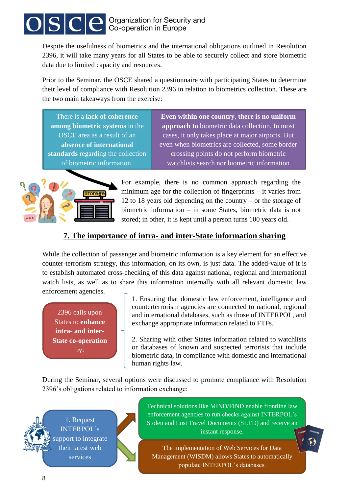# $\text{O}|\textbf{S}|\textbf{C}|\textbf{e}$  Organization for Security and

Despite the usefulness of biometrics and the international obligations outlined in Resolution 2396, it will take many years for all States to be able to securely collect and store biometric data due to limited capacity and resources.

Prior to the Seminar, the OSCE shared a questionnaire with participating States to determine their level of compliance with Resolution 2396 in relation to biometrics collection. These are the two main takeaways from the exercise:

There is a **lack of coherence among biometric systems** in the OSCE area as a result of an **absence of international standards** regarding the collection of biometric information.

**Even within one country**, **there is no uniform approach to** biometric data collection. In most cases, it only takes place at major airports. But even when biometrics are collected, some border crossing points do not perform biometric watchlists search nor biometric information

.verification.



For example, there is no common approach regarding the minimum age for the collection of fingerprints – it varies from 12 to 18 years old depending on the country – or the storage of biometric information – in some States, biometric data is not stored; in other, it is kept until a person turns 100 years old.

#### **7. The importance of intra- and inter-State information sharing**

While the collection of passenger and biometric information is a key element for an effective counter-terrorism strategy, this information, on its own, is just data. The added-value of it is to establish automated cross-checking of this data against national, regional and international watch lists, as well as to share this information internally with all relevant domestic law enforcement agencies.

2396 calls upon States to **enhance intra- and inter-State co-operation**  by:

1. Ensuring that domestic law enforcement, intelligence and counterterrorism agencies are connected to national, regional and international databases, such as those of INTERPOL, and exchange appropriate information related to FTFs.

2. Sharing with other States information related to watchlists or databases of known and suspected terrorists that include biometric data, in compliance with domestic and international human rights law.

During the Seminar, several options were discussed to promote compliance with Resolution 2396's obligations related to information exchange:



Technical solutions like MIND/FIND enable frontline law enforcement agencies to run checks against INTERPOL's Stolen and Lost Travel Documents (SLTD) and receive an instant response.

The implementation of Web Services for Data Management (WISDM) allows States to automatically populate INTERPOL's databases.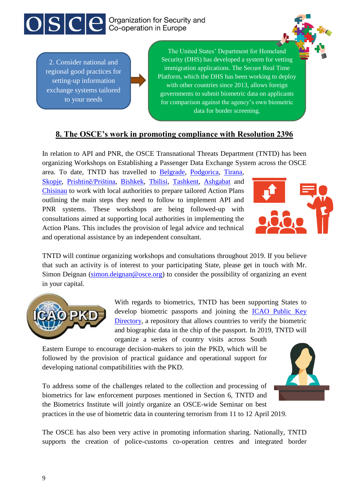

2. Consider national and regional good practices for setting-up information exchange systems tailored to your needs

The United States' Department for Homeland Security (DHS) has developed a system for vetting immigration applications. The Secure Real Time Platform, which the DHS has been working to deploy with other countries since 2013, allows foreign governments to submit biometric data on applicants for comparison against the agency's own biometric data for border screening.

#### **8. The OSCE's work in promoting compliance with Resolution 2396**

In relation to API and PNR, the OSCE Transnational Threats Department (TNTD) has been organizing Workshops on Establishing a Passenger Data Exchange System across the OSCE

area. To date, TNTD has travelled to [Belgrade,](http://www.osce.org/secretariat/285716) [Podgorica,](http://www.osce.org/secretariat/320841) [Tirana,](http://www.osce.org/presence-in-albania/354281) [Skopje,](http://www.osce.org/secretariat/362766) [Prishtinë/Priština,](https://www.osce.org/secretariat/373468) [Bishkek,](https://www.osce.org/programme-office-in-bishkek/382234) [Tbilisi,](https://www.osce.org/secretariat/378166) [Tashkent,](https://www.osce.org/secretariat/384537) [Ashgabat](https://www.osce.org/secretariat/391184) and [Chisinau](https://www.osce.org/secretariat/387632) to work with local authorities to prepare tailored Action Plans outlining the main steps they need to follow to implement API and PNR systems. These workshops are being followed-up with consultations aimed at supporting local authorities in implementing the Action Plans. This includes the provision of legal advice and technical and operational assistance by an independent consultant.



TNTD will continue organizing workshops and consultations throughout 2019. If you believe that such an activity is of interest to your participating State, please get in touch with Mr. Simon Deignan [\(simon.deignan@osce.org\)](mailto:simon.deignan@osce.org) to consider the possibility of organizing an event in your capital.



With regards to biometrics, TNTD has been supporting States to develop biometric passports and joining the [ICAO Public Key](https://www.osce.org/secretariat/389606?download=true)  [Directory,](https://www.osce.org/secretariat/389606?download=true) a repository that allows countries to verify the biometric and biographic data in the chip of the passport. In 2019, TNTD will organize a series of country visits across South

Eastern Europe to encourage decision-makers to join the PKD, which will be followed by the provision of practical guidance and operational support for developing national compatibilities with the PKD.

To address some of the challenges related to the collection and processing of biometrics for law enforcement purposes mentioned in Section 6, TNTD and the Biometrics Institute will jointly organize an OSCE-wide Seminar on best practices in the use of biometric data in countering terrorism from 11 to 12 April 2019.

The OSCE has also been very active in promoting information sharing. Nationally, TNTD supports the creation of police-customs co-operation centres and integrated border